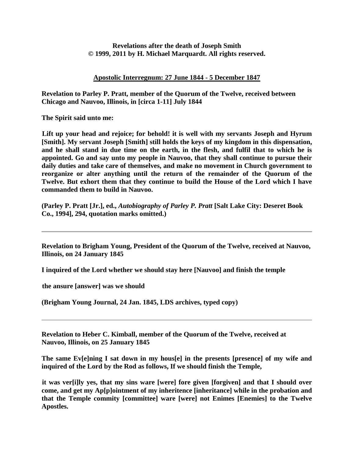### **Revelations after the death of Joseph Smith © 1999, 2011 by H. Michael Marquardt. All rights reserved.**

### **Apostolic Interregnum: 27 June 1844 - 5 December 1847**

**Revelation to Parley P. Pratt, member of the Quorum of the Twelve, received between Chicago and Nauvoo, Illinois, in [circa 1-11] July 1844** 

**The Spirit said unto me:** 

**Lift up your head and rejoice; for behold! it is well with my servants Joseph and Hyrum [Smith]. My servant Joseph [Smith] still holds the keys of my kingdom in this dispensation, and he shall stand in due time on the earth, in the flesh, and fulfil that to which he is appointed. Go and say unto my people in Nauvoo, that they shall continue to pursue their daily duties and take care of themselves, and make no movement in Church government to reorganize or alter anything until the return of the remainder of the Quorum of the Twelve. But exhort them that they continue to build the House of the Lord which I have commanded them to build in Nauvoo.** 

**(Parley P. Pratt [Jr.], ed.,** *Autobiography of Parley P. Pratt* **[Salt Lake City: Deseret Book Co., 1994], 294, quotation marks omitted.)** 

**Revelation to Brigham Young, President of the Quorum of the Twelve, received at Nauvoo, Illinois, on 24 January 1845** 

**I inquired of the Lord whether we should stay here [Nauvoo] and finish the temple** 

**the ansure [answer] was we should** 

**(Brigham Young Journal, 24 Jan. 1845, LDS archives, typed copy)** 

**Revelation to Heber C. Kimball, member of the Quorum of the Twelve, received at Nauvoo, Illinois, on 25 January 1845** 

**The same Ev[e]ning I sat down in my hous[e] in the presents [presence] of my wife and inquired of the Lord by the Rod as follows, If we should finish the Temple,** 

**it was ver[i]ly yes, that my sins ware [were] fore given [forgiven] and that I should over come, and get my Ap[p]ointment of my inheritence [inheritance] while in the probation and that the Temple commity [committee] ware [were] not Enimes [Enemies] to the Twelve Apostles.**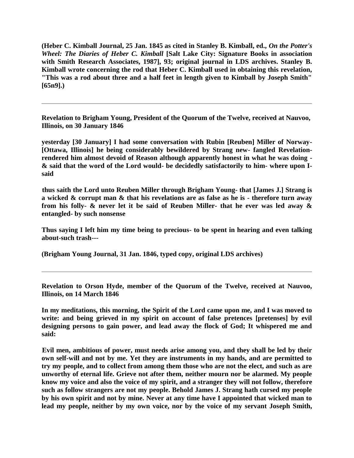**(Heber C. Kimball Journal, 25 Jan. 1845 as cited in Stanley B. Kimball, ed.,** *On the Potter's Wheel: The Diaries of Heber C. Kimball* **[Salt Lake City: Signature Books in association with Smith Research Associates, 1987], 93; original journal in LDS archives. Stanley B. Kimball wrote concerning the rod that Heber C. Kimball used in obtaining this revelation, "This was a rod about three and a half feet in length given to Kimball by Joseph Smith" [65n9].)** 

**Revelation to Brigham Young, President of the Quorum of the Twelve, received at Nauvoo, Illinois, on 30 January 1846** 

**yesterday [30 January] I had some conversation with Rubin [Reuben] Miller of Norway- [Ottawa, Illinois] he being considerably bewildered by Strang new- fangled Revelationrendered him almost devoid of Reason although apparently honest in what he was doing - & said that the word of the Lord would- be decidedly satisfactorily to him- where upon Isaid** 

**thus saith the Lord unto Reuben Miller through Brigham Young- that [James J.] Strang is a wicked & corrupt man & that his revelations are as false as he is - therefore turn away from his folly- & never let it be said of Reuben Miller- that he ever was led away & entangled- by such nonsense** 

**Thus saying I left him my time being to precious- to be spent in hearing and even talking about-such trash---**

**(Brigham Young Journal, 31 Jan. 1846, typed copy, original LDS archives)** 

**Revelation to Orson Hyde, member of the Quorum of the Twelve, received at Nauvoo, Illinois, on 14 March 1846** 

**In my meditations, this morning, the Spirit of the Lord came upon me, and I was moved to write: and being grieved in my spirit on account of false pretences [pretenses] by evil designing persons to gain power, and lead away the flock of God; It whispered me and said:** 

**Evil men, ambitious of power, must needs arise among you, and they shall be led by their own self-will and not by me. Yet they are instruments in my hands, and are permitted to try my people, and to collect from among them those who are not the elect, and such as are unworthy of eternal life. Grieve not after them, neither mourn nor be alarmed. My people know my voice and also the voice of my spirit, and a stranger they will not follow, therefore such as follow strangers are not my people. Behold James J. Strang hath cursed my people by his own spirit and not by mine. Never at any time have I appointed that wicked man to lead my people, neither by my own voice, nor by the voice of my servant Joseph Smith,**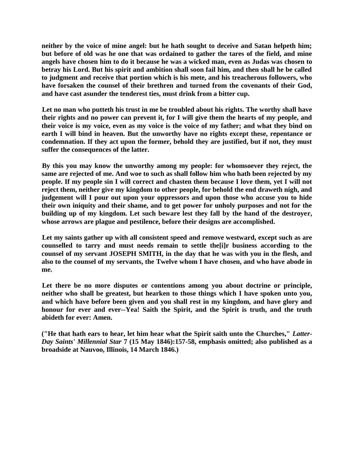**neither by the voice of mine angel: but he hath sought to deceive and Satan helpeth him; but before of old was he one that was ordained to gather the tares of the field, and mine angels have chosen him to do it because he was a wicked man, even as Judas was chosen to betray his Lord. But his spirit and ambition shall soon fail him, and then shall he be called to judgment and receive that portion which is his mete, and his treacherous followers, who have forsaken the counsel of their brethren and turned from the covenants of their God, and have cast asunder the tenderest ties, must drink from a bitter cup.** 

**Let no man who putteth his trust in me be troubled about his rights. The worthy shall have their rights and no power can prevent it, for I will give them the hearts of my people, and their voice is my voice, even as my voice is the voice of my father; and what they bind on earth I will bind in heaven. But the unworthy have no rights except these, repentance or condemnation. If they act upon the former, behold they are justified, but if not, they must suffer the consequences of the latter.** 

**By this you may know the unworthy among my people: for whomsoever they reject, the same are rejected of me. And woe to such as shall follow him who hath been rejected by my people. If my people sin I will correct and chasten them because I love them, yet I will not reject them, neither give my kingdom to other people, for behold the end draweth nigh, and judgement will I pour out upon your oppressors and upon those who accuse you to hide their own iniquity and their shame, and to get power for unholy purposes and not for the building up of my kingdom. Let such beware lest they fall by the hand of the destroyer, whose arrows are plague and pestilence, before their designs are accomplished.** 

**Let my saints gather up with all consistent speed and remove westward, except such as are counselled to tarry and must needs remain to settle the[i]r business according to the counsel of my servant JOSEPH SMITH, in the day that he was with you in the flesh, and also to the counsel of my servants, the Twelve whom I have chosen, and who have abode in me.** 

**Let there be no more disputes or contentions among you about doctrine or principle, neither who shall be greatest, but hearken to those things which I have spoken unto you, and which have before been given and you shall rest in my kingdom, and have glory and honour for ever and ever--Yea! Saith the Spirit, and the Spirit is truth, and the truth abideth for ever: Amen.** 

**("He that hath ears to hear, let him hear what the Spirit saith unto the Churches,"** *Latter-Day Saints' Millennial Star* **7 (15 May 1846):157-58, emphasis omitted; also published as a broadside at Nauvoo, Illinois, 14 March 1846.)**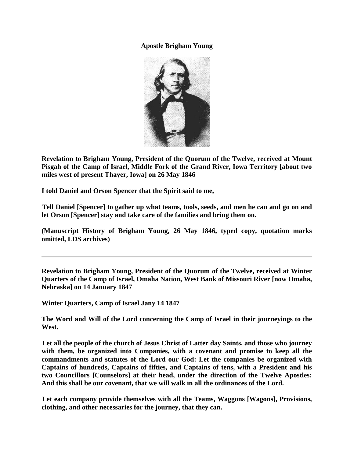### **Apostle Brigham Young**



**Revelation to Brigham Young, President of the Quorum of the Twelve, received at Mount Pisgah of the Camp of Israel, Middle Fork of the Grand River, Iowa Territory [about two miles west of present Thayer, Iowa] on 26 May 1846** 

**I told Daniel and Orson Spencer that the Spirit said to me,** 

**Tell Daniel [Spencer] to gather up what teams, tools, seeds, and men he can and go on and let Orson [Spencer] stay and take care of the families and bring them on.** 

**(Manuscript History of Brigham Young, 26 May 1846, typed copy, quotation marks omitted, LDS archives)** 

**Revelation to Brigham Young, President of the Quorum of the Twelve, received at Winter Quarters of the Camp of Israel, Omaha Nation, West Bank of Missouri River [now Omaha, Nebraska] on 14 January 1847** 

**Winter Quarters, Camp of Israel Jany 14 1847** 

**The Word and Will of the Lord concerning the Camp of Israel in their journeyings to the West.** 

**Let all the people of the church of Jesus Christ of Latter day Saints, and those who journey with them, be organized into Companies, with a covenant and promise to keep all the commandments and statutes of the Lord our God: Let the companies be organized with Captains of hundreds, Captains of fifties, and Captains of tens, with a President and his two Councillors [Counselors] at their head, under the direction of the Twelve Apostles; And this shall be our covenant, that we will walk in all the ordinances of the Lord.** 

**Let each company provide themselves with all the Teams, Waggons [Wagons], Provisions, clothing, and other necessaries for the journey, that they can.**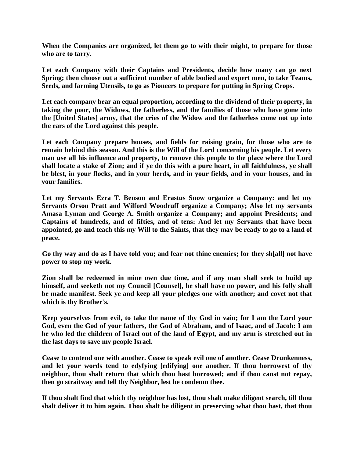**When the Companies are organized, let them go to with their might, to prepare for those who are to tarry.** 

**Let each Company with their Captains and Presidents, decide how many can go next Spring; then choose out a sufficient number of able bodied and expert men, to take Teams, Seeds, and farming Utensils, to go as Pioneers to prepare for putting in Spring Crops.** 

Let each company bear an equal proportion, according to the dividend of their property, in **taking the poor, the Widows, the fatherless, and the families of those who have gone into the [United States] army, that the cries of the Widow and the fatherless come not up into the ears of the Lord against this people.** 

**Let each Company prepare houses, and fields for raising grain, for those who are to remain behind this season. And this is the Will of the Lord concerning his people. Let every man use all his influence and property, to remove this people to the place where the Lord shall locate a stake of Zion; and if ye do this with a pure heart, in all faithfulness, ye shall be blest, in your flocks, and in your herds, and in your fields, and in your houses, and in your families.** 

**Let my Servants Ezra T. Benson and Erastus Snow organize a Company: and let my Servants Orson Pratt and Wilford Woodruff organize a Company; Also let my servants Amasa Lyman and George A. Smith organize a Company; and appoint Presidents; and Captains of hundreds, and of fifties, and of tens: And let my Servants that have been appointed, go and teach this my Will to the Saints, that they may be ready to go to a land of peace.** 

**Go thy way and do as I have told you; and fear not thine enemies; for they sh[all] not have power to stop my work.** 

**Zion shall be redeemed in mine own due time, and if any man shall seek to build up himself, and seeketh not my Council [Counsel], he shall have no power, and his folly shall be made manifest. Seek ye and keep all your pledges one with another; and covet not that which is thy Brother's.** 

**Keep yourselves from evil, to take the name of thy God in vain; for I am the Lord your God, even the God of your fathers, the God of Abraham, and of Isaac, and of Jacob: I am he who led the children of Israel out of the land of Egypt, and my arm is stretched out in the last days to save my people Israel.** 

**Cease to contend one with another. Cease to speak evil one of another. Cease Drunkenness, and let your words tend to edyfying [edifying] one another. If thou borrowest of thy neighbor, thou shalt return that which thou hast borrowed; and if thou canst not repay, then go straitway and tell thy Neighbor, lest he condemn thee.** 

**If thou shalt find that which thy neighbor has lost, thou shalt make diligent search, till thou shalt deliver it to him again. Thou shalt be diligent in preserving what thou hast, that thou**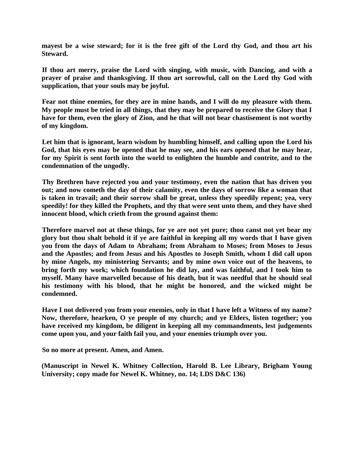**mayest be a wise steward; for it is the free gift of the Lord thy God, and thou art his Steward.** 

**If thou art merry, praise the Lord with singing, with music, with Dancing, and with a prayer of praise and thanksgiving. If thou art sorrowful, call on the Lord thy God with supplication, that your souls may be joyful.** 

**Fear not thine enemies, for they are in mine hands, and I will do my pleasure with them. My people must be tried in all things, that they may be prepared to receive the Glory that I have for them, even the glory of Zion, and he that will not bear chastisement is not worthy of my kingdom.** 

**Let him that is ignorant, learn wisdom by humbling himself, and calling upon the Lord his God, that his eyes may be opened that he may see, and his ears opened that he may hear, for my Spirit is sent forth into the world to enlighten the humble and contrite, and to the condemnation of the ungodly.** 

**Thy Brethren have rejected you and your testimony, even the nation that has driven you out; and now cometh the day of their calamity, even the days of sorrow like a woman that is taken in travail; and their sorrow shall be great, unless they speedily repent; yea, very speedily! for they killed the Prophets, and thy that were sent unto them, and they have shed innocent blood, which crieth from the ground against them:** 

**Therefore marvel not at these things, for ye are not yet pure; thou canst not yet bear my glory but thou shalt behold it if ye are faithful in keeping all my words that I have given you from the days of Adam to Abraham; from Abraham to Moses; from Moses to Jesus and the Apostles; and from Jesus and his Apostles to Joseph Smith, whom I did call upon by mine Angels, my ministering Servants; and by mine own voice out of the heavens, to bring forth my work; which foundation he did lay, and was faithful, and I took him to myself. Many have marvelled because of his death, but it was needful that he should seal his testimony with his blood, that he might be honored, and the wicked might be condemned.** 

**Have I not delivered you from your enemies, only in that I have left a Witness of my name? Now, therefore, hearken, O ye people of my church; and ye Elders, listen together; you have received my kingdom, be diligent in keeping all my commandments, lest judgements come upon you, and your faith fail you, and your enemies triumph over you.** 

**So no more at present. Amen, and Amen.** 

**(Manuscript in Newel K. Whitney Collection, Harold B. Lee Library, Brigham Young University; copy made for Newel K. Whitney, no. 14; LDS D&C 136)**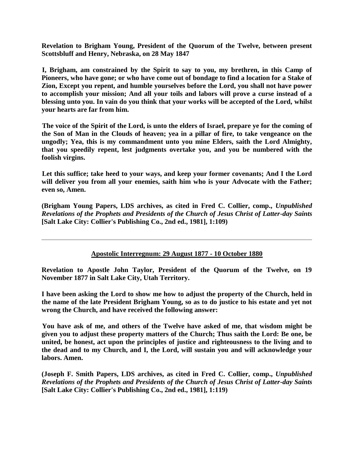**Revelation to Brigham Young, President of the Quorum of the Twelve, between present Scottsbluff and Henry, Nebraska, on 28 May 1847** 

**I, Brigham, am constrained by the Spirit to say to you, my brethren, in this Camp of Pioneers, who have gone; or who have come out of bondage to find a location for a Stake of Zion, Except you repent, and humble yourselves before the Lord, you shall not have power to accomplish your mission; And all your toils and labors will prove a curse instead of a blessing unto you. In vain do you think that your works will be accepted of the Lord, whilst your hearts are far from him.** 

**The voice of the Spirit of the Lord, is unto the elders of Israel, prepare ye for the coming of the Son of Man in the Clouds of heaven; yea in a pillar of fire, to take vengeance on the ungodly; Yea, this is my commandment unto you mine Elders, saith the Lord Almighty, that you speedily repent, lest judgments overtake you, and you be numbered with the foolish virgins.** 

**Let this suffice; take heed to your ways, and keep your former covenants; And I the Lord will deliver you from all your enemies, saith him who is your Advocate with the Father; even so, Amen.** 

**(Brigham Young Papers, LDS archives, as cited in Fred C. Collier, comp.,** *Unpublished Revelations of the Prophets and Presidents of the Church of Jesus Christ of Latter-day Saints* **[Salt Lake City: Collier's Publishing Co., 2nd ed., 1981], 1:109)** 

# **Apostolic Interregnum: 29 August 1877 - 10 October 1880**

**Revelation to Apostle John Taylor, President of the Quorum of the Twelve, on 19 November 1877 in Salt Lake City, Utah Territory.** 

**I have been asking the Lord to show me how to adjust the property of the Church, held in the name of the late President Brigham Young, so as to do justice to his estate and yet not wrong the Church, and have received the following answer:** 

**You have ask of me, and others of the Twelve have asked of me, that wisdom might be given you to adjust these property matters of the Church; Thus saith the Lord: Be one, be united, be honest, act upon the principles of justice and righteousness to the living and to the dead and to my Church, and I, the Lord, will sustain you and will acknowledge your labors. Amen.** 

**(Joseph F. Smith Papers, LDS archives, as cited in Fred C. Collier, comp.,** *Unpublished Revelations of the Prophets and Presidents of the Church of Jesus Christ of Latter-day Saints* **[Salt Lake City: Collier's Publishing Co., 2nd ed., 1981], 1:119)**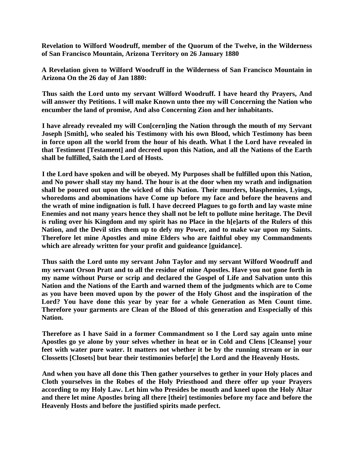**Revelation to Wilford Woodruff, member of the Quorum of the Twelve, in the Wilderness of San Francisco Mountain, Arizona Territory on 26 January 1880** 

**A Revelation given to Wilford Woodruff in the Wilderness of San Francisco Mountain in Arizona On the 26 day of Jan 1880:** 

**Thus saith the Lord unto my servant Wilford Woodruff. I have heard thy Prayers, And will answer thy Petitions. I will make Known unto thee my will Concerning the Nation who encumber the land of promise, And also Concerning Zion and her inhabitants.** 

**I have already revealed my will Con[cern]ing the Nation through the mouth of my Servant Joseph [Smith], who sealed his Testimony with his own Blood, which Testimony has been in force upon all the world from the hour of his death. What I the Lord have revealed in that Testiment [Testament] and decreed upon this Nation, and all the Nations of the Earth shall be fulfilled, Saith the Lord of Hosts.** 

**I the Lord have spoken and will be obeyed. My Purposes shall be fulfilled upon this Nation, and No power shall stay my hand. The hour is at the door when my wrath and indignation shall be poured out upon the wicked of this Nation. Their murders, blasphemies, Lyings, whoredoms and abominations have Come up before my face and before the heavens and the wrath of mine indignation is full. I have decreed Plagues to go forth and lay waste mine Enemies and not many years hence they shall not be left to pollute mine heritage. The Devil is ruling over his Kingdom and my spirit has no Place in the h[e]arts of the Rulers of this Nation, and the Devil stirs them up to defy my Power, and to make war upon my Saints. Therefore let mine Apostles and mine Elders who are faithful obey my Commandments which are already written for your profit and guideance [guidance].** 

**Thus saith the Lord unto my servant John Taylor and my servant Wilford Woodruff and my servant Orson Pratt and to all the residue of mine Apostles. Have you not gone forth in my name without Purse or scrip and declared the Gospel of Life and Salvation unto this Nation and the Nations of the Earth and warned them of the judgments which are to Come as you have been moved upon by the power of the Holy Ghost and the inspiration of the Lord? You have done this year by year for a whole Generation as Men Count time. Therefore your garments are Clean of the Blood of this generation and Esspecially of this Nation.** 

**Therefore as I have Said in a former Commandment so I the Lord say again unto mine Apostles go ye alone by your selves whether in heat or in Cold and Clens [Cleanse] your feet with water pure water. It matters not whether it be by the running stream or in our Clossetts [Closets] but bear their testimonies befor[e] the Lord and the Heavenly Hosts.** 

**And when you have all done this Then gather yourselves to gether in your Holy places and Cloth yourselves in the Robes of the Holy Priesthood and there offer up your Prayers according to my Holy Law. Let him who Presides be mouth and kneel upon the Holy Altar and there let mine Apostles bring all there [their] testimonies before my face and before the Heavenly Hosts and before the justified spirits made perfect.**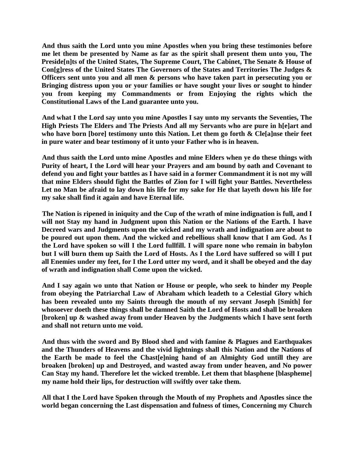**And thus saith the Lord unto you mine Apostles when you bring these testimonies before me let them be presented by Name as far as the spirit shall present them unto you, The Preside[n]ts of the United States, The Supreme Court, The Cabinet, The Senate & House of Con[g]ress of the United States The Governors of the States and Territories The Judges & Officers sent unto you and all men & persons who have taken part in persecuting you or Bringing distress upon you or your families or have sought your lives or sought to hinder you from keeping my Commandments or from Enjoying the rights which the Constitutional Laws of the Land guarantee unto you.** 

**And what I the Lord say unto you mine Apostles I say unto my servants the Seventies, The High Priests The Elders and The Priests And all my Servants who are pure in h[e]art and who have born [bore] testimony unto this Nation. Let them go forth & Cle[a]nse their feet in pure water and bear testimony of it unto your Father who is in heaven.** 

**And thus saith the Lord unto mine Apostles and mine Elders when ye do these things with Purity of heart, I the Lord will hear your Prayers and am bound by oath and Covenant to defend you and fight your battles as I have said in a former Commandment it is not my will that mine Elders should fight the Battles of Zion for I will fight your Battles. Nevertheless Let no Man be afraid to lay down his life for my sake for He that layeth down his life for my sake shall find it again and have Eternal life.** 

**The Nation is ripened in iniquity and the Cup of the wrath of mine indignation is full, and I will not Stay my hand in Judgment upon this Nation or the Nations of the Earth. I have Decreed wars and Judgments upon the wicked and my wrath and indignation are about to be poured out upon them. And the wicked and rebellious shall know that I am God. As I the Lord have spoken so will I the Lord fullfill. I will spare none who remain in babylon but I will burn them up Saith the Lord of Hosts. As I the Lord have suffered so will I put all Enemies under my feet, for I the Lord utter my word, and it shall be obeyed and the day of wrath and indignation shall Come upon the wicked.** 

**And I say again wo unto that Nation or House or people, who seek to hinder my People from obeying the Patriarchal Law of Abraham which leadeth to a Celestial Glory which has been revealed unto my Saints through the mouth of my servant Joseph [Smith] for whosoever doeth these things shall be damned Saith the Lord of Hosts and shall be broaken [broken] up & washed away from under Heaven by the Judgments which I have sent forth and shall not return unto me void.** 

**And thus with the sword and By Blood shed and with famine & Plagues and Earthquakes and the Thunders of Heavens and the vivid lightnings shall this Nation and the Nations of the Earth be made to feel the Chast[e]ning hand of an Almighty God untill they are broaken [broken] up and Destroyed, and wasted away from under heaven, and No power Can Stay my hand. Therefore let the wicked tremble. Let them that blasphene [blaspheme] my name hold their lips, for destruction will swiftly over take them.** 

**All that I the Lord have Spoken through the Mouth of my Prophets and Apostles since the world began concerning the Last dispensation and fulness of times, Concerning my Church**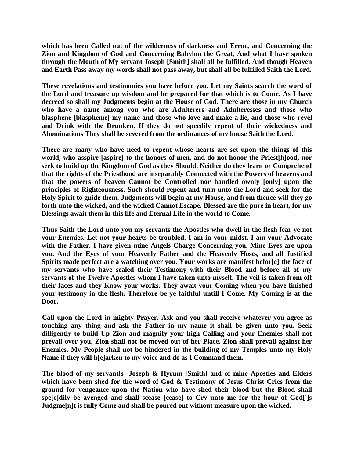**which has been Called out of the wilderness of darkness and Error, and Concerning the Zion and Kingdom of God and Concerning Babylon the Great, And what I have spoken through the Mouth of My servant Joseph [Smith] shall all be fulfilled. And though Heaven and Earth Pass away my words shall not pass away, but shall all be fulfilled Saith the Lord.** 

**These revelations and testimonies you have before you. Let my Saints search the word of the Lord and treasure up wisdom and be prepared for that which is to Come. As I have decreed so shall my Judgments begin at the House of God. There are those in my Church who have a name among you who are Adulterers and Adulteresses and those who blasphene [blaspheme] my name and those who love and make a lie, and those who revel and Drink with the Drunken. If they do not speedily repent of their wickedness and Abominations They shall be severed from the ordinances of my house Saith the Lord.** 

**There are many who have need to repent whose hearts are set upon the things of this world, who asspire [aspire] to the honors of men, and do not honor the Priest[h]ood, nor seek to build up the Kingdom of God as they Should. Neither do they learn or Comprehend that the rights of the Priesthood are inseparably Connected with the Powers of heavens and that the powers of heaven Cannot be Controlled nor handled ownly [only] upon the principles of Righteousness. Such should repent and turn unto the Lord and seek for the Holy Spirit to guide them. Judgments will begin at my House, and from thence will they go forth unto the wicked, and the wicked Cannot Escape. Blessed are the pure in heart, for my Blessings await them in this life and Eternal Life in the world to Come.** 

**Thus Saith the Lord unto you my servants the Apostles who dwell in the flesh fear ye not your Enemies. Let not your hearts be troubled. I am in your midst. I am your Advocate with the Father. I have given mine Angels Charge Concerning you. Mine Eyes are upon you. And the Eyes of your Heavenly Father and the Heavenly Hosts, and all Justified Spirits made perfect are a watching over you. Your works are manifest befor[e] the face of my servants who have sealed their Testimony with their Blood and before all of my servants of the Twelve Apostles whom I have taken unto myself. The veil is taken from off their faces and they Know your works. They await your Coming when you have finished your testimony in the flesh. Therefore be ye faithful untill I Come. My Coming is at the Door.** 

**Call upon the Lord in mighty Prayer. Ask and you shall receive whatever you agree as touching any thing and ask the Father in my name it shall be given unto you. Seek dilligently to build Up Zion and magnify your high Calling and your Enemies shall not prevail over you. Zion shall not be moved out of her Place. Zion shall prevail against her Enemies. My People shall not be hindered in the building of my Temples unto my Holy Name if they will h[e]arken to my voice and do as I Command them.** 

**The blood of my servant[s] Joseph & Hyrum [Smith] and of mine Apostles and Elders which have been shed for the word of God & Testimony of Jesus Christ Cries from the ground for vengeance upon the Nation who have shed their blood but the Blood shall spe[e]dily be avenged and shall scease [cease] to Cry unto me for the hour of God[']s Judgme[n]t is fully Come and shall be poured out without measure upon the wicked.**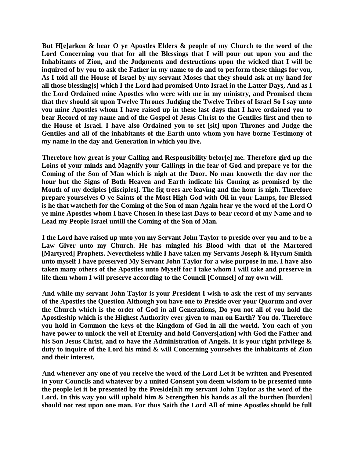**But H[e]arken & hear O ye Apostles Elders & people of my Church to the word of the Lord Concerning you that for all the Blessings that I will pour out upon you and the Inhabitants of Zion, and the Judgments and destructions upon the wicked that I will be inquired of by you to ask the Father in my name to do and to perform these things for you, As I told all the House of Israel by my servant Moses that they should ask at my hand for all those blessing[s] which I the Lord had promised Unto Israel in the Latter Days, And as I the Lord Ordained mine Apostles who were with me in my ministry, and Promised them that they should sit upon Twelve Thrones Judging the Twelve Tribes of Israel So I say unto you mine Apostles whom I have raised up in these last days that I have ordained you to bear Record of my name and of the Gospel of Jesus Christ to the Gentiles first and then to the House of Israel. I have also Ordained you to set [sit] upon Thrones and Judge the Gentiles and all of the inhabitants of the Earth unto whom you have borne Testimony of my name in the day and Generation in which you live.** 

**Therefore how great is your Calling and Responsibility befor[e] me. Therefore gird up the Loins of your minds and Magnify your Callings in the fear of God and prepare ye for the Coming of the Son of Man which is nigh at the Door. No man knoweth the day nor the hour but the Signs of Both Heaven and Earth indicate his Coming as promised by the Mouth of my deciples [disciples]. The fig trees are leaving and the hour is nigh. Therefore prepare yourselves O ye Saints of the Most High God with Oil in your Lamps, for Blessed is he that watcheth for the Coming of the Son of man Again hear ye the word of the Lord O ye mine Apostles whom I have Chosen in these last Days to bear record of my Name and to Lead my People Israel untill the Coming of the Son of Man.** 

**I the Lord have raised up unto you my Servant John Taylor to preside over you and to be a Law Giver unto my Church. He has mingled his Blood with that of the Martered [Martyred] Prophets. Nevertheless while I have taken my Servants Joseph & Hyrum Smith unto myself I have preserved My Servant John Taylor for a wise purpose in me. I have also taken many others of the Apostles unto Myself for I take whom I will take and preserve in life them whom I will preserve according to the Council [Counsel] of my own will.** 

**And while my servant John Taylor is your President I wish to ask the rest of my servants of the Apostles the Question Although you have one to Preside over your Quorum and over the Church which is the order of God in all Generations, Do you not all of you hold the Apostleship which is the Highest Authority ever given to man on Earth? You do. Therefore you hold in Common the keys of the Kingdom of God in all the world. You each of you have power to unlock the veil of Eternity and hold Convers[ation] with God the Father and his Son Jesus Christ, and to have the Administration of Angels. It is your right privilege & duty to inquire of the Lord his mind & will Concerning yourselves the inhabitants of Zion and their interest.** 

**And whenever any one of you receive the word of the Lord Let it be written and Presented in your Councils and whatever by a united Consent you deem wisdom to be presented unto the people let it be presented by the Preside[n]t my servant John Taylor as the word of the**  Lord. In this way you will uphold him & Strengthen his hands as all the burthen [burden] **should not rest upon one man. For thus Saith the Lord All of mine Apostles should be full**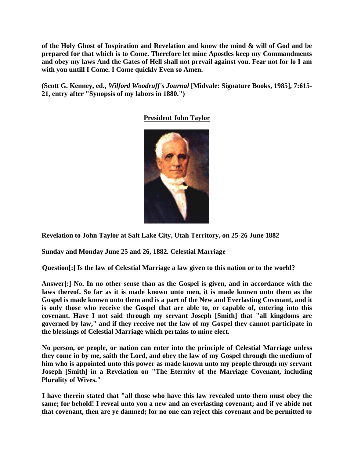**of the Holy Ghost of Inspiration and Revelation and know the mind & will of God and be prepared for that which is to Come. Therefore let mine Apostles keep my Commandments and obey my laws And the Gates of Hell shall not prevail against you. Fear not for lo I am with you untill I Come. I Come quickly Even so Amen.** 

**(Scott G. Kenney, ed.,** *Wilford Woodruff's Journal* **[Midvale: Signature Books, 1985], 7:615- 21, entry after "Synopsis of my labors in 1880.")** 

**President John Taylor**



**Revelation to John Taylor at Salt Lake City, Utah Territory, on 25-26 June 1882** 

**Sunday and Monday June 25 and 26, 1882. Celestial Marriage** 

**Question[:] Is the law of Celestial Marriage a law given to this nation or to the world?** 

**Answer[:] No. In no other sense than as the Gospel is given, and in accordance with the laws thereof. So far as it is made known unto men, it is made known unto them as the Gospel is made known unto them and is a part of the New and Everlasting Covenant, and it is only those who receive the Gospel that are able to, or capable of, entering into this covenant. Have I not said through my servant Joseph [Smith] that "all kingdoms are governed by law," and if they receive not the law of my Gospel they cannot participate in the blessings of Celestial Marriage which pertains to mine elect.** 

**No person, or people, or nation can enter into the principle of Celestial Marriage unless they come in by me, saith the Lord, and obey the law of my Gospel through the medium of him who is appointed unto this power as made known unto my people through my servant Joseph [Smith] in a Revelation on "The Eternity of the Marriage Covenant, including Plurality of Wives."** 

**I have therein stated that "all those who have this law revealed unto them must obey the same; for behold! I reveal unto you a new and an everlasting covenant; and if ye abide not that covenant, then are ye damned; for no one can reject this covenant and be permitted to**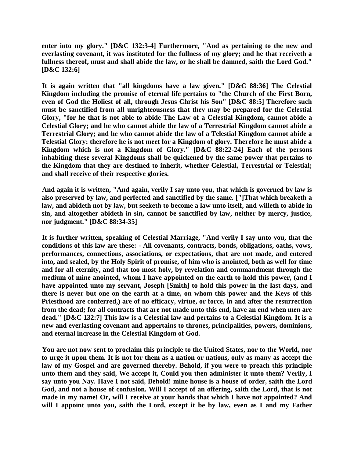**enter into my glory." [D&C 132:3-4] Furthermore, "And as pertaining to the new and everlasting covenant, it was instituted for the fullness of my glory; and he that receiveth a fullness thereof, must and shall abide the law, or he shall be damned, saith the Lord God." [D&C 132:6]** 

**It is again written that "all kingdoms have a law given." [D&C 88:36] The Celestial Kingdom including the promise of eternal life pertains to "the Church of the First Born, even of God the Holiest of all, through Jesus Christ his Son" [D&C 88:5] Therefore such must be sanctified from all unrighteousness that they may be prepared for the Celestial Glory, "for he that is not able to abide The Law of a Celestial Kingdom, cannot abide a Celestial Glory; and he who cannot abide the law of a Terrestrial Kingdom cannot abide a Terrestrial Glory; and he who cannot abide the law of a Telestial Kingdom cannot abide a Telestial Glory: therefore he is not meet for a Kingdom of glory. Therefore he must abide a Kingdom which is not a Kingdom of Glory." [D&C 88:22-24] Each of the persons inhabiting these several Kingdoms shall be quickened by the same power that pertains to the Kingdom that they are destined to inherit, whether Celestial, Terrestrial or Telestial; and shall receive of their respective glories.** 

**And again it is written, "And again, verily I say unto you, that which is governed by law is also preserved by law, and perfected and sanctified by the same. ["]That which breaketh a law, and abideth not by law, but seeketh to become a law unto itself, and willeth to abide in sin, and altogether abideth in sin, cannot be sanctified by law, neither by mercy, justice, nor judgment." [D&C 88:34-35]** 

**It is further written, speaking of Celestial Marriage, "And verily I say unto you, that the conditions of this law are these: - All covenants, contracts, bonds, obligations, oaths, vows, performances, connections, associations, or expectations, that are not made, and entered into, and sealed, by the Holy Spirit of promise, of him who is anointed, both as well for time and for all eternity, and that too most holy, by revelation and commandment through the medium of mine anointed, whom I have appointed on the earth to hold this power, (and I have appointed unto my servant, Joseph [Smith] to hold this power in the last days, and there is never but one on the earth at a time, on whom this power and the Keys of this Priesthood are conferred,) are of no efficacy, virtue, or force, in and after the resurrection from the dead; for all contracts that are not made unto this end, have an end when men are dead." [D&C 132:7] This law is a Celestial law and pertains to a Celestial Kingdom. It is a new and everlasting covenant and appertains to thrones, principalities, powers, dominions, and eternal increase in the Celestial Kingdom of God.** 

**You are not now sent to proclaim this principle to the United States, nor to the World, nor to urge it upon them. It is not for them as a nation or nations, only as many as accept the law of my Gospel and are governed thereby. Behold, if you were to preach this principle unto them and they said, We accept it, Could you then administer it unto them? Verily, I say unto you Nay. Have I not said, Behold! mine house is a house of order, saith the Lord God, and not a house of confusion. Will I accept of an offering, saith the Lord, that is not made in my name! Or, will I receive at your hands that which I have not appointed? And**  will I appoint unto you, saith the Lord, except it be by law, even as I and my Father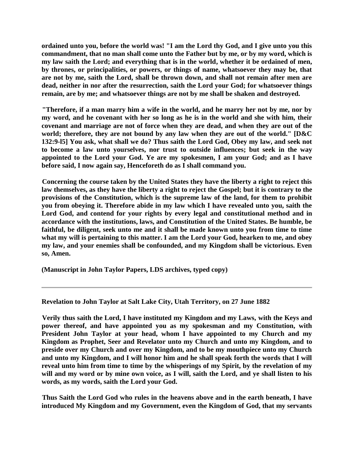**ordained unto you, before the world was! "I am the Lord thy God, and I give unto you this commandment, that no man shall come unto the Father but by me, or by my word, which is my law saith the Lord; and everything that is in the world, whether it be ordained of men, by thrones, or principalities, or powers, or things of name, whatsoever they may be, that are not by me, saith the Lord, shall be thrown down, and shall not remain after men are dead, neither in nor after the resurrection, saith the Lord your God; for whatsoever things remain, are by me; and whatsoever things are not by me shall be shaken and destroyed.** 

**"Therefore, if a man marry him a wife in the world, and he marry her not by me, nor by my word, and he covenant with her so long as he is in the world and she with him, their covenant and marriage are not of force when they are dead, and when they are out of the world; therefore, they are not bound by any law when they are out of the world." [D&C 132:9-l5] You ask, what shall we do? Thus saith the Lord God, Obey my law, and seek not to become a law unto yourselves, nor trust to outside influences; but seek in the way appointed to the Lord your God. Ye are my spokesmen, I am your God; and as I have before said, I now again say, Henceforeth do as I shall command you.** 

**Concerning the course taken by the United States they have the liberty a right to reject this law themselves, as they have the liberty a right to reject the Gospel; but it is contrary to the provisions of the Constitution, which is the supreme law of the land, for them to prohibit you from obeying it. Therefore abide in my law which I have revealed unto you, saith the Lord God, and contend for your rights by every legal and constitutional method and in accordance with the institutions, laws, and Constitution of the United States. Be humble, be faithful, be diligent, seek unto me and it shall be made known unto you from time to time what my will is pertaining to this matter. I am the Lord your God, hearken to me, and obey my law, and your enemies shall be confounded, and my Kingdom shall be victorious. Even so, Amen.** 

**(Manuscript in John Taylor Papers, LDS archives, typed copy)** 

**Revelation to John Taylor at Salt Lake City, Utah Territory, on 27 June 1882** 

**Verily thus saith the Lord, I have instituted my Kingdom and my Laws, with the Keys and power thereof, and have appointed you as my spokesman and my Constitution, with President John Taylor at your head, whom I have appointed to my Church and my Kingdom as Prophet, Seer and Revelator unto my Church and unto my Kingdom, and to preside over my Church and over my Kingdom, and to be my mouthpiece unto my Church and unto my Kingdom, and I will honor him and he shall speak forth the words that I will reveal unto him from time to time by the whisperings of my Spirit, by the revelation of my will and my word or by mine own voice, as I will, saith the Lord, and ye shall listen to his words, as my words, saith the Lord your God.** 

**Thus Saith the Lord God who rules in the heavens above and in the earth beneath, I have introduced My Kingdom and my Government, even the Kingdom of God, that my servants**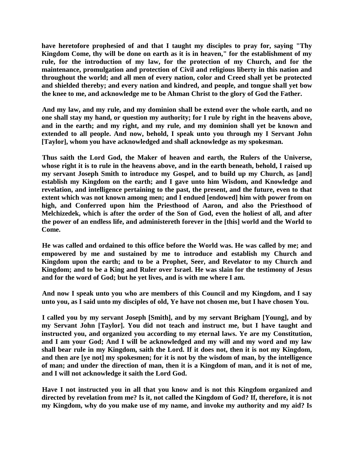**have heretofore prophesied of and that I taught my disciples to pray for, saying "Thy Kingdom Come, thy will be done on earth as it is in heaven," for the establishment of my rule, for the introduction of my law, for the protection of my Church, and for the maintenance, promulgation and protection of Civil and religious liberty in this nation and throughout the world; and all men of every nation, color and Creed shall yet be protected and shielded thereby; and every nation and kindred, and people, and tongue shall yet bow the knee to me, and acknowledge me to be Ahman Christ to the glory of God the Father.** 

**And my law, and my rule, and my dominion shall be extend over the whole earth, and no one shall stay my hand, or question my authority; for I rule by right in the heavens above, and in the earth; and my right, and my rule, and my dominion shall yet be known and extended to all people. And now, behold, I speak unto you through my I Servant John [Taylor], whom you have acknowledged and shall acknowledge as my spokesman.** 

**Thus saith the Lord God, the Maker of heaven and earth, the Rulers of the Universe, whose right it is to rule in the heavens above, and in the earth beneath, behold, I raised up my servant Joseph Smith to introduce my Gospel, and to build up my Church, as [and] establish my Kingdom on the earth; and I gave unto him Wisdom, and Knowledge and revelation, and intelligence pertaining to the past, the present, and the future, even to that extent which was not known among men; and I endued [endowed] him with power from on high, and Conferred upon him the Priesthood of Aaron, and also the Priesthood of Melchizedek, which is after the order of the Son of God, even the holiest of all, and after the power of an endless life, and administereth forever in the [this] world and the World to Come.** 

**He was called and ordained to this office before the World was. He was called by me; and empowered by me and sustained by me to introduce and establish my Church and Kingdom upon the earth; and to be a Prophet, Seer, and Revelator to my Church and Kingdom; and to be a King and Ruler over Israel. He was slain for the testimony of Jesus and for the word of God; but he yet lives, and is with me where I am.** 

**And now I speak unto you who are members of this Council and my Kingdom, and I say unto you, as I said unto my disciples of old, Ye have not chosen me, but I have chosen You.** 

**I called you by my servant Joseph [Smith], and by my servant Brigham [Young], and by my Servant John [Taylor]. You did not teach and instruct me, but I have taught and instructed you, and organized you according to my eternal laws. Ye are my Constitution, and I am your God; And I will be acknowledged and my will and my word and my law shall bear rule in my Kingdom, saith the Lord. If it does not, then it is not my Kingdom, and then are [ye not] my spokesmen; for it is not by the wisdom of man, by the intelligence of man; and under the direction of man, then it is a Kingdom of man, and it is not of me, and I will not acknowledge it saith the Lord God.** 

**Have I not instructed you in all that you know and is not this Kingdom organized and directed by revelation from me? Is it, not called the Kingdom of God? If, therefore, it is not my Kingdom, why do you make use of my name, and invoke my authority and my aid? Is**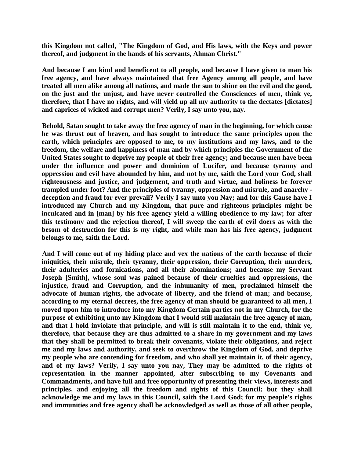**this Kingdom not called, "The Kingdom of God, and His laws, with the Keys and power thereof, and judgment in the hands of his servants, Ahman Christ."** 

**And because I am kind and beneficent to all people, and because I have given to man his free agency, and have always maintained that free Agency among all people, and have treated all men alike among all nations, and made the sun to shine on the evil and the good, on the just and the unjust, and have never controlled the Consciences of men, think ye, therefore, that I have no rights, and will yield up all my authority to the dectates [dictates] and caprices of wicked and corrupt men? Verily, I say unto you, nay.** 

**Behold, Satan sought to take away the free agency of man in the beginning, for which cause he was thrust out of heaven, and has sought to introduce the same principles upon the**  earth, which principles are opposed to me, to my institutions and my laws, and to the **freedom, the welfare and happiness of man and by which principles the Government of the United States sought to deprive my people of their free agency; and because men have been under the influence and power and dominion of Lucifer, and because tyranny and oppression and evil have abounded by him, and not by me, saith the Lord your God, shall righteousness and justice, and judgement, and truth and virtue, and holiness be forever trampled under foot? And the principles of tyranny, oppression and misrule, and anarchy deception and fraud for ever prevail? Verily I say unto you Nay; and for this Cause have I introduced my Church and my Kingdom, that pure and righteous principles might be inculcated and in [man] by his free agency yield a willing obedience to my law; for after this testimony and the rejection thereof, I will sweep the earth of evil doers as with the besom of destruction for this is my right, and while man has his free agency, judgment belongs to me, saith the Lord.** 

**And I will come out of my hiding place and vex the nations of the earth because of their iniquities, their misrule, their tyranny, their oppression, their Corruption, their murders, their adulteries and fornications, and all their abominations; and because my Servant Joseph [Smith], whose soul was pained because of their cruelties and oppressions, the injustice, fraud and Corruption, and the inhumanity of men, proclaimed himself the advocate of human rights, the advocate of liberty, and the friend of man; and because, according to my eternal decrees, the free agency of man should be guaranteed to all men, I moved upon him to introduce into my Kingdom Certain parties not in my Church, for the purpose of exhibiting unto my Kingdom that I would still maintain the free agency of man, and that I hold inviolate that principle, and will is still maintain it to the end, think ye, therefore, that because they are thus admitted to a share in my government and my laws that they shall be permitted to break their covenants, violate their obligations, and reject me and my laws and authority, and seek to overthrow the Kingdom of God, and deprive my people who are contending for freedom, and who shall yet maintain it, of their agency, and of my laws? Verily, I say unto you nay, They may be admitted to the rights of representation in the manner appointed, after subscribing to my Covenants and Commandments, and have full and free opportunity of presenting their views, interests and principles, and enjoying all the freedom and rights of this Council; but they shall acknowledge me and my laws in this Council, saith the Lord God; for my people's rights and immunities and free agency shall be acknowledged as well as those of all other people,**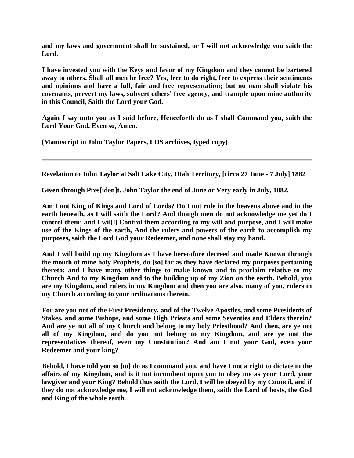**and my laws and government shall be sustained, or I will not acknowledge you saith the Lord.** 

**I have invested you with the Keys and favor of my Kingdom and they cannot be bartered away to others. Shall all men be free? Yes, free to do right, free to express their sentiments and opinions and have a full, fair and free representation; but no man shall violate his covenants, pervert my laws, subvert others' free agency, and trample upon mine authority in this Council, Saith the Lord your God.** 

**Again I say unto you as I said before, Henceforth do as I shall Command you, saith the Lord Your God. Even so, Amen.** 

**(Manuscript in John Taylor Papers, LDS archives, typed copy)** 

**Revelation to John Taylor at Salt Lake City, Utah Territory, [circa 27 June - 7 July] 1882** 

**Given through Pres[iden]t. John Taylor the end of June or Very early in July, 1882.** 

**Am I not King of Kings and Lord of Lords? Do I not rule in the heavens above and in the earth beneath, as I will saith the Lord? And though men do not acknowledge me yet do I control them; and I wil[l] Control them according to my will and purpose, and I will make use of the Kings of the earth, And the rulers and powers of the earth to accomplish my purposes, saith the Lord God your Redeemer, and none shall stay my hand.** 

**And I will build up my Kingdom as I have heretofore decreed and made Known through the mouth of mine holy Prophets, do [so] far as they have declared my purposes pertaining thereto; and I have many other things to make known and to proclaim relative to my Church And to my Kingdom and to the building up of my Zion on the earth. Behold, you are my Kingdom, and rulers in my Kingdom and then you are also, many of you, rulers in my Church according to your ordinations therein.** 

**For are you not of the First Presidency, and of the Twelve Apostles, and some Presidents of Stakes, and some Bishops, and some High Priests and some Seventies and Elders therein? And are ye not all of my Church and belong to my holy Priesthood? And then, are ye not all of my Kingdom, and do you not belong to my Kingdom, and are ye not the representatives thereof, even my Constitution? And am I not your God, even your Redeemer and your king?** 

**Behold, I have told you so [to] do as I command you, and have I not a right to dictate in the affairs of my Kingdom, and is it not incumbent upon you to obey me as your Lord, your lawgiver and your King? Behold thus saith the Lord, I will be obeyed by my Council, and if they do not acknowledge me, I will not acknowledge them, saith the Lord of hosts, the God and King of the whole earth.**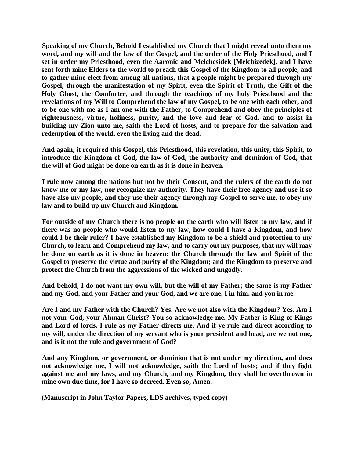**Speaking of my Church, Behold I established my Church that I might reveal unto them my word, and my will and the law of the Gospel, and the order of the Holy Priesthood, and I set in order my Priesthood, even the Aaronic and Melchesidek [Melchizedek], and I have sent forth mine Elders to the world to preach this Gospel of the Kingdom to all people, and to gather mine elect from among all nations, that a people might be prepared through my Gospel, through the manifestation of my Spirit, even the Spirit of Truth, the Gift of the Holy Ghost, the Comforter, and through the teachings of my holy Priesthood and the revelations of my Will to Comprehend the law of my Gospel, to be one with each other, and to be one with me as I am one with the Father, to Comprehend and obey the principles of righteousness, virtue, holiness, purity, and the love and fear of God, and to assist in building my Zion unto me, saith the Lord of hosts, and to prepare for the salvation and redemption of the world, even the living and the dead.** 

**And again, it required this Gospel, this Priesthood, this revelation, this unity, this Spirit, to introduce the Kingdom of God, the law of God, the authority and dominion of God, that the will of God might be done on earth as it is done in heaven.** 

**I rule now among the nations but not by their Consent, and the rulers of the earth do not know me or my law, nor recognize my authority. They have their free agency and use it so have also my people, and they use their agency through my Gospel to serve me, to obey my law and to build up my Church and Kingdom.** 

**For outside of my Church there is no people on the earth who will listen to my law, and if there was no people who would listen to my law, how could I have a Kingdom, and how could I be their ruler? I have established my Kingdom to be a shield and protection to my Church, to learn and Comprehend my law, and to carry out my purposes, that my will may be done on earth as it is done in heaven: the Church through the law and Spirit of the Gospel to preserve the virtue and purity of the Kingdom; and the Kingdom to preserve and protect the Church from the aggressions of the wicked and ungodly.** 

**And behold, I do not want my own will, but the will of my Father; the same is my Father and my God, and your Father and your God, and we are one, I in him, and you in me.** 

**Are I and my Father with the Church? Yes. Are we not also with the Kingdom? Yes. Am I not your God, your Ahman Christ? You so acknowledge me. My Father is King of Kings and Lord of lords. I rule as my Father directs me, And if ye rule and direct according to my will, under the direction of my servant who is your president and head, are we not one, and is it not the rule and government of God?** 

**And any Kingdom, or government, or dominion that is not under my direction, and does not acknowledge me, I will not acknowledge, saith the Lord of hosts; and if they fight against me and my laws, and my Church, and my Kingdom, they shall be overthrown in mine own due time, for I have so decreed. Even so, Amen.** 

**(Manuscript in John Taylor Papers, LDS archives, typed copy)**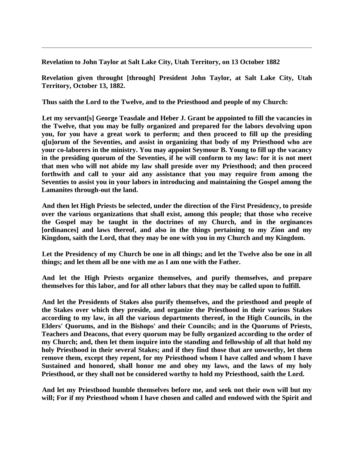**Revelation to John Taylor at Salt Lake City, Utah Territory, on 13 October 1882** 

**Revelation given throught [through] President John Taylor, at Salt Lake City, Utah Territory, October 13, 1882.** 

**Thus saith the Lord to the Twelve, and to the Priesthood and people of my Church:** 

Let my servant<sup>[s]</sup> George Teasdale and Heber J. Grant be appointed to fill the vacancies in **the Twelve, that you may be fully organized and prepared for the labors devolving upon you, for you have a great work to perform; and then proceed to fill up the presiding q[u]orum of the Seventies, and assist in organizing that body of my Priesthood who are your co-laborers in the ministry. You may appoint Seymour B. Young to fill up the vacancy in the presiding quorum of the Seventies, if he will conform to my law: for it is not meet that men who will not abide my law shall preside over my Priesthood; and then proceed forthwith and call to your aid any assistance that you may require from among the Seventies to assist you in your labors in introducing and maintaining the Gospel among the Lamanites through-out the land.** 

**And then let High Priests be selected, under the direction of the First Presidency, to preside over the various organizations that shall exist, among this people; that those who receive the Gospel may be taught in the doctrines of my Church, and in the orginances [ordinances] and laws thereof, and also in the things pertaining to my Zion and my Kingdom, saith the Lord, that they may be one with you in my Church and my Kingdom.** 

**Let the Presidency of my Church be one in all things; and let the Twelve also be one in all things; and let them all be one with me as I am one with the Father.** 

**And let the High Priests organize themselves, and purify themselves, and prepare themselves for this labor, and for all other labors that they may be called upon to fulfill.** 

**And let the Presidents of Stakes also purify themselves, and the priesthood and people of the Stakes over which they preside, and organize the Priesthood in their various Stakes according to my law, in all the various departments thereof, in the High Councils, in the Elders' Quorums, and in the Bishops' and their Councils; and in the Quorums of Priests, Teachers and Deacons, that every quorum may be fully organized according to the order of my Church; and, then let them inquire into the standing and fellowship of all that hold my holy Priesthood in their several Stakes; and if they find those that are unworthy, let them remove them, except they repent, for my Priesthood whom I have called and whom I have Sustained and honored, shall honor me and obey my laws, and the laws of my holy Priesthood, or they shall not be considered worthy to hold my Priesthood, saith the Lord.** 

**And let my Priesthood humble themselves before me, and seek not their own will but my will; For if my Priesthood whom I have chosen and called and endowed with the Spirit and**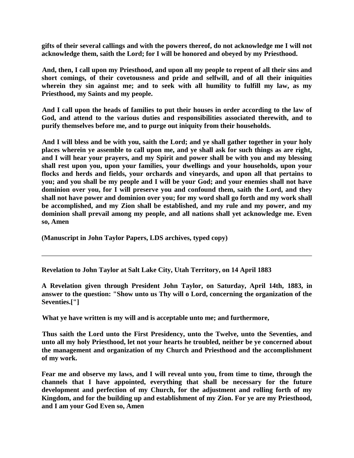**gifts of their several callings and with the powers thereof, do not acknowledge me I will not acknowledge them, saith the Lord; for I will be honored and obeyed by my Priesthood.** 

**And, then, I call upon my Priesthood, and upon all my people to repent of all their sins and short comings, of their covetousness and pride and selfwill, and of all their iniquities wherein they sin against me; and to seek with all humility to fulfill my law, as my Priesthood, my Saints and my people.** 

**And I call upon the heads of families to put their houses in order according to the law of God, and attend to the various duties and responsibilities associated therewith, and to purify themselves before me, and to purge out iniquity from their households.** 

**And I will bless and be with you, saith the Lord; and ye shall gather together in your holy places wherein ye assemble to call upon me, and ye shall ask for such things as are right, and I will hear your prayers, and my Spirit and power shall be with you and my blessing shall rest upon you, upon your families, your dwellings and your households, upon your flocks and herds and fields, your orchards and vineyards, and upon all that pertains to you; and you shall be my people and I will be your God; and your enemies shall not have dominion over you, for I will preserve you and confound them, saith the Lord, and they shall not have power and dominion over you; for my word shall go forth and my work shall be accomplished, and my Zion shall be established, and my rule and my power, and my dominion shall prevail among my people, and all nations shall yet acknowledge me. Even so, Amen** 

**(Manuscript in John Taylor Papers, LDS archives, typed copy)** 

**Revelation to John Taylor at Salt Lake City, Utah Territory, on 14 April 1883** 

**A Revelation given through President John Taylor, on Saturday, April 14th, 1883, in answer to the question: "Show unto us Thy will o Lord, concerning the organization of the Seventies.["]** 

**What ye have written is my will and is acceptable unto me; and furthermore,** 

**Thus saith the Lord unto the First Presidency, unto the Twelve, unto the Seventies, and unto all my holy Priesthood, let not your hearts he troubled, neither be ye concerned about the management and organization of my Church and Priesthood and the accomplishment of my work.** 

**Fear me and observe my laws, and I will reveal unto you, from time to time, through the channels that I have appointed, everything that shall be necessary for the future development and perfection of my Church, for the adjustment and rolling forth of my Kingdom, and for the building up and establishment of my Zion. For ye are my Priesthood, and I am your God Even so, Amen**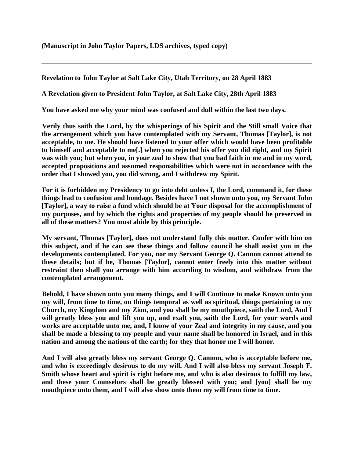**(Manuscript in John Taylor Papers, LDS archives, typed copy)** 

**Revelation to John Taylor at Salt Lake City, Utah Territory, on 28 April 1883** 

**A Revelation given to President John Taylor, at Salt Lake City, 28th April 1883** 

**You have asked me why your mind was confused and dull within the last two days.** 

**Verily thus saith the Lord, by the whisperings of his Spirit and the Still small Voice that the arrangement which you have contemplated with my Servant, Thomas [Taylor], is not acceptable, to me. He should have listened to your offer which would have been profitable to himself and acceptable to me[.] when you rejected his offer you did right, and my Spirit was with you; but when you, in your zeal to show that you had faith in me and in my word, accepted propositions and assumed responsibilities which were not in accordance with the order that I showed you, you did wrong, and I withdrew my Spirit.** 

**For it is forbidden my Presidency to go into debt unless I, the Lord, command it, for these things lead to confusion and bondage. Besides have I not shown unto you, my Servant John [Taylor], a way to raise a fund which should be at Your disposal for the accomplishment of my purposes, and by which the rights and properties of my people should be preserved in all of these matters? You must abide by this principle.** 

**My servant, Thomas [Taylor], does not understand fully this matter. Confer with him on this subject, and if he can see these things and follow council he shall assist you in the developments contemplated. For you, nor my Servant George Q. Cannon cannot attend to these details; but if he, Thomas [Taylor], cannot enter freely into this matter without restraint then shall you arrange with him according to wisdom, and withdraw from the contemplated arrangement.** 

**Behold, I have shown unto you many things, and I will Continue to make Known unto you my will, from time to time, on things temporal as well as spiritual, things pertaining to my Church, my Kingdom and my Zion, and you shall be my mouthpiece, saith the Lord, And I will greatly bless you and lift you up, and exalt you, saith the Lord, for your words and works are acceptable unto me, and, I know of your Zeal and integrity in my cause, and you shall be made a blessing to my people and your name shall be honored in Israel, and in this nation and among the nations of the earth; for they that honor me I will honor.** 

**And I will also greatly bless my servant George Q. Cannon, who is acceptable before me, and who is exceedingly desirous to do my will. And I will also bless my servant Joseph F. Smith whose heart and spirit is right before me, and who is also desirous to fulfill my law, and these your Counselors shall be greatly blessed with you; and [you] shall be my mouthpiece unto them, and I will also show unto them my will from time to time.**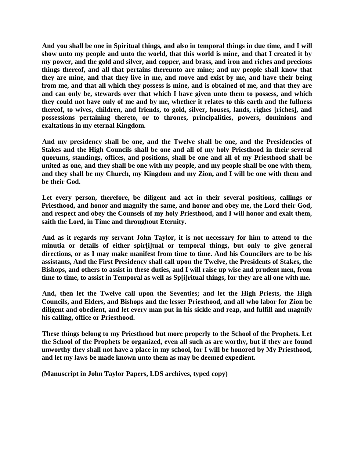**And you shall be one in Spiritual things, and also in temporal things in due time, and I will show unto my people and unto the world, that this world is mine, and that I created it by my power, and the gold and silver, and copper, and brass, and iron and riches and precious things thereof, and all that pertains thereunto are mine; and my people shall know that they are mine, and that they live in me, and move and exist by me, and have their being from me, and that all which they possess is mine, and is obtained of me, and that they are and can only be, stewards over that which I have given unto them to possess, and which they could not have only of me and by me, whether it relates to this earth and the fullness thereof, to wives, children, and friends, to gold, silver, houses, lands, righes [riches], and possessions pertaining thereto, or to thrones, principalities, powers, dominions and exaltations in my eternal Kingdom.** 

**And my presidency shall be one, and the Twelve shall be one, and the Presidencies of Stakes and the High Councils shall be one and all of my holy Priesthood in their several quorums, standings, offices, and positions, shall be one and all of my Priesthood shall be united as one, and they shall be one with my people, and my people shall be one with them, and they shall be my Church, my Kingdom and my Zion, and I will be one with them and be their God.** 

**Let every person, therefore, be diligent and act in their several positions, callings or Priesthood, and honor and magnify the same, and honor and obey me, the Lord their God, and respect and obey the Counsels of my holy Priesthood, and I will honor and exalt them, saith the Lord, in Time and throughout Eternity.** 

**And as it regards my servant John Taylor, it is not necessary for him to attend to the minutia or details of either spir[i]tual or temporal things, but only to give general directions, or as I may make manifest from time to time. And his Councilors are to be his assistants, And the First Presidency shall call upon the Twelve, the Presidents of Stakes, the Bishops, and others to assist in these duties, and I will raise up wise and prudent men, from time to time, to assist in Temporal as well as Sp[i]ritual things, for they are all one with me.** 

**And, then let the Twelve call upon the Seventies; and let the High Priests, the High Councils, and Elders, and Bishops and the lesser Priesthood, and all who labor for Zion be diligent and obedient, and let every man put in his sickle and reap, and fulfill and magnify his calling, office or Priesthood.** 

**These things belong to my Priesthood but more properly to the School of the Prophets. Let the School of the Prophets be organized, even all such as are worthy, but if they are found unworthy they shall not have a place in my school, for I will be honored by My Priesthood, and let my laws be made known unto them as may be deemed expedient.** 

**(Manuscript in John Taylor Papers, LDS archives, typed copy)**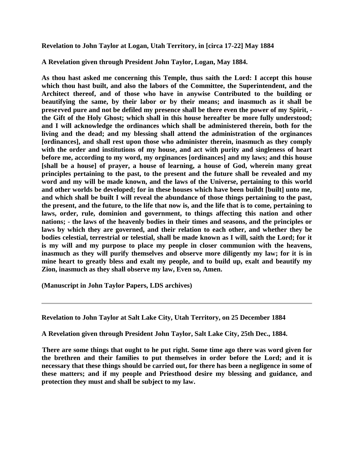**Revelation to John Taylor at Logan, Utah Territory, in [circa 17-22] May 1884** 

**A Revelation given through President John Taylor, Logan, May 1884.** 

**As thou hast asked me concerning this Temple, thus saith the Lord: I accept this house which thou hast built, and also the labors of the Committee, the Superintendent, and the Architect thereof, and of those who have in anywise Contributed to the building or beautifying the same, by their labor or by their means; and inasmuch as it shall be preserved pure and not be defiled my presence shall be there even the power of my Spirit, the Gift of the Holy Ghost; which shall in this house hereafter be more fully understood; and I will acknowledge the ordinances which shall be administered therein, both for the living and the dead; and my blessing shall attend the administration of the orginances [ordinances], and shall rest upon those who administer therein, inasmuch as they comply with the order and institutions of my house, and act with purity and singleness of heart before me, according to my word, my orginances [ordinances] and my laws; and this house [shall be a house] of prayer, a house of learning, a house of God, wherein many great principles pertaining to the past, to the present and the future shall be revealed and my word and my will be made known, and the laws of the Universe, pertaining to this world and other worlds be developed; for in these houses which have been buildt [built] unto me, and which shall be built I will reveal the abundance of those things pertaining to the past, the present, and the future, to the life that now is, and the life that is to come, pertaining to laws, order, rule, dominion and government, to things affecting this nation and other nations; - the laws of the heavenly bodies in their times and seasons, and the principles or laws by which they are governed, and their relation to each other, and whether they be bodies celestial, terrestrial or telestial, shall be made known as I will, saith the Lord; for it is my will and my purpose to place my people in closer communion with the heavens, inasmuch as they will purify themselves and observe more diligently my law; for it is in mine heart to greatly bless and exalt my people, and to build up, exalt and beautify my Zion, inasmuch as they shall observe my law, Even so, Amen.** 

**(Manuscript in John Taylor Papers, LDS archives)** 

**Revelation to John Taylor at Salt Lake City, Utah Territory, on 25 December 1884** 

**A Revelation given through President John Taylor, Salt Lake City, 25th Dec., 1884.** 

**There are some things that ought to he put right. Some time ago there was word given for the brethren and their families to put themselves in order before the Lord; and it is necessary that these things should be carried out, for there has been a negligence in some of these matters; and if my people and Priesthood desire my blessing and guidance, and protection they must and shall be subject to my law.**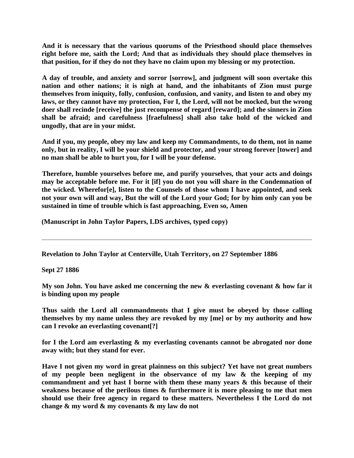**And it is necessary that the various quorums of the Priesthood should place themselves right before me, saith the Lord; And that as individuals they should place themselves in that position, for if they do not they have no claim upon my blessing or my protection.** 

**A day of trouble, and anxiety and sorror [sorrow], and judgment will soon overtake this nation and other nations; it is nigh at hand, and the inhabitants of Zion must purge themselves from iniquity, folly, confusion, confusion, and vanity, and listen to and obey my laws, or they cannot have my protection, For I, the Lord, will not be mocked, but the wrong doer shall recinde [receive] the just recompense of regard [reward]; and the sinners in Zion shall be afraid; and carefulness [fraefulness] shall also take hold of the wicked and ungodly, that are in your midst.** 

**And if you, my people, obey my law and keep my Commandments, to do them, not in name only, but in reality, I will be your shield and protector, and your strong forever [tower] and no man shall be able to hurt you, for I will be your defense.** 

**Therefore, humble yourselves before me, and purify yourselves, that your acts and doings may be acceptable before me. For it [if] you do not you will share in the Condemnation of the wicked. Wherefor[e], listen to the Counsels of those whom I have appointed, and seek not your own will and way, But the will of the Lord your God; for by him only can you be sustained in time of trouble which is fast approaching, Even so, Amen** 

**(Manuscript in John Taylor Papers, LDS archives, typed copy)** 

**Revelation to John Taylor at Centerville, Utah Territory, on 27 September 1886** 

**Sept 27 1886** 

**My son John. You have asked me concerning the new & everlasting covenant & how far it is binding upon my people** 

**Thus saith the Lord all commandments that I give must be obeyed by those calling themselves by my name unless they are revoked by my [me] or by my authority and how can I revoke an everlasting covenant[?]** 

**for I the Lord am everlasting & my everlasting covenants cannot be abrogated nor done away with; but they stand for ever.** 

**Have I not given my word in great plainness on this subject? Yet have not great numbers of my people been negligent in the observance of my law & the keeping of my commandment and yet hast I borne with them these many years & this because of their weakness because of the perilous times & furthermore it is more pleasing to me that men should use their free agency in regard to these matters. Nevertheless I the Lord do not change & my word & my covenants & my law do not**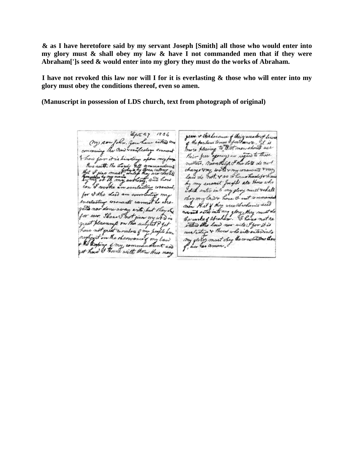**& as I have heretofore said by my servant Joseph [Smith] all those who would enter into my glory must & shall obey my law & have I not commanded men that if they were Abraham[']s seed & would enter into my glory they must do the works of Abraham.** 

**I have not revoked this law nor will I for it is everlasting & those who will enter into my glory must obey the conditions thereof, even so amen.** 

**(Manuscript in possession of LDS church, text from photograph of original)** 

years of this decause of their weaking become<br>I the persons times I put homore, it is<br>I their free agency in regard to those<br>Their free agency in regard to those<br>matters, Mounthiep I the Lots do not Sept 27 1886 (My son John . you have sites one concerning the new verificating connect I have far it is hinding upon my head thus saith the Lord all on change 4 my world + my warmants + my aly flow calling that of mut law do not. v as I have hereloforlas finally of the my authority and how<br>con I wroke an everlasting covenant, by my servent Joseph ale those who would enter into my glovy must vahall obey my law those & not commons for I the does an everlasti everlasting corenants cannot be abremen that if they were abreham's seed gate nor done away with; but they of await sate into my glory, they must do for ever. Have I not given my who in great plaining on this subject? but water this law nor will I for it is have not great members of my people been weakaster & those who will enterents nighteent in the observance of my low my glory must obey the conditions there the Expiry of my commandment and of wer so amen.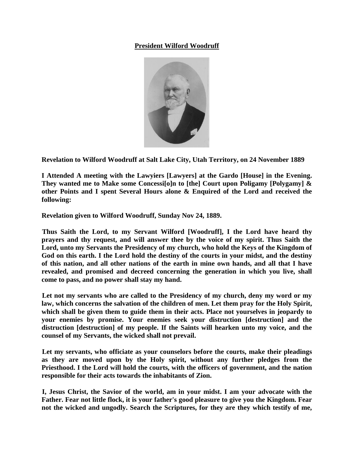# **President Wilford Woodruff**



**Revelation to Wilford Woodruff at Salt Lake City, Utah Territory, on 24 November 1889** 

**I Attended A meeting with the Lawyiers [Lawyers] at the Gardo [House] in the Evening. They wanted me to Make some Concessi[o]n to [the] Court upon Poligamy [Polygamy] & other Points and I spent Several Hours alone & Enquired of the Lord and received the following:** 

**Revelation given to Wilford Woodruff, Sunday Nov 24, 1889.** 

**Thus Saith the Lord, to my Servant Wilford [Woodruff], I the Lord have heard thy prayers and thy request, and will answer thee by the voice of my spirit. Thus Saith the Lord, unto my Servants the Presidency of my church, who hold the Keys of the Kingdom of God on this earth. I the Lord hold the destiny of the courts in your midst, and the destiny of this nation, and all other nations of the earth in mine own hands, and all that I have revealed, and promised and decreed concerning the generation in which you live, shall come to pass, and no power shall stay my hand.** 

Let not my servants who are called to the Presidency of my church, deny my word or my **law, which concerns the salvation of the children of men. Let them pray for the Holy Spirit, which shall be given them to guide them in their acts. Place not yourselves in jeopardy to your enemies by promise. Your enemies seek your distruction [destruction] and the distruction [destruction] of my people. If the Saints will hearken unto my voice, and the counsel of my Servants, the wicked shall not prevail.** 

**Let my servants, who officiate as your counselors before the courts, make their pleadings as they are moved upon by the Holy spirit, without any further pledges from the Priesthood. I the Lord will hold the courts, with the officers of government, and the nation responsible for their acts towards the inhabitants of Zion.** 

**I, Jesus Christ, the Savior of the world, am in your midst. I am your advocate with the Father. Fear not little flock, it is your father's good pleasure to give you the Kingdom. Fear not the wicked and ungodly. Search the Scriptures, for they are they which testify of me,**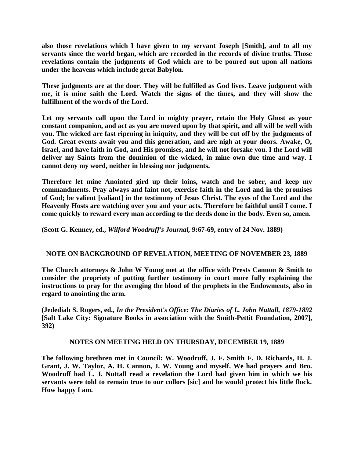**also those revelations which I have given to my servant Joseph [Smith], and to all my servants since the world began, which are recorded in the records of divine truths. Those revelations contain the judgments of God which are to be poured out upon all nations under the heavens which include great Babylon.** 

**These judgments are at the door. They will be fulfilled as God lives. Leave judgment with me, it is mine saith the Lord. Watch the signs of the times, and they will show the fulfillment of the words of the Lord.** 

**Let my servants call upon the Lord in mighty prayer, retain the Holy Ghost as your constant companion, and act as you are moved upon by that spirit, and all will be well with you. The wicked are fast ripening in iniquity, and they will be cut off by the judgments of God. Great events await you and this generation, and are nigh at your doors. Awake, O, Israel, and have faith in God, and His promises, and he will not forsake you. I the Lord will deliver my Saints from the dominion of the wicked, in mine own due time and way. I cannot deny my word, neither in blessing nor judgments.** 

**Therefore let mine Anointed gird up their loins, watch and be sober, and keep my commandments. Pray always and faint not, exercise faith in the Lord and in the promises of God; be valient [valiant] in the testimony of Jesus Christ. The eyes of the Lord and the Heavenly Hosts are watching over you and your acts. Therefore be faithful until I come. I come quickly to reward every man according to the deeds done in the body. Even so, amen.** 

**(Scott G. Kenney, ed.,** *Wilford Woodruff's Journal,* **9:67-69, entry of 24 Nov. 1889)** 

# **NOTE ON BACKGROUND OF REVELATION, MEETING OF NOVEMBER 23, 1889**

**The Church attorneys & John W Young met at the office with Prests Cannon & Smith to consider the propriety of putting further testimony in court more fully explaining the instructions to pray for the avenging the blood of the prophets in the Endowments, also in regard to anointing the arm.** 

**(Jedediah S. Rogers, ed.,** *In the President's Office: The Diaries of L. John Nuttall, 1879-1892* **[Salt Lake City: Signature Books in association with the Smith-Pettit Foundation, 2007], 392)** 

### **NOTES ON MEETING HELD ON THURSDAY, DECEMBER 19, 1889**

**The following brethren met in Council: W. Woodruff, J. F. Smith F. D. Richards, H. J. Grant, J. W. Taylor, A. H. Cannon, J. W. Young and myself. We had prayers and Bro. Woodruff had L. J. Nuttall read a revelation the Lord had given him in which we his servants were told to remain true to our collors [sic] and he would protect his little flock. How happy I am.**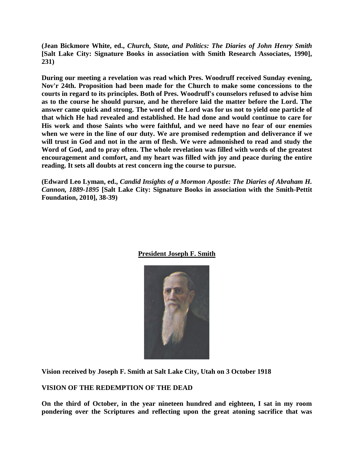**(Jean Bickmore White, ed.,** *Church, State, and Politics: The Diaries of John Henry Smith* **[Salt Lake City: Signature Books in association with Smith Research Associates, 1990], 231)** 

**During our meeting a revelation was read which Pres. Woodruff received Sunday evening, Nov'r 24th. Proposition had been made for the Church to make some concessions to the courts in regard to its principles. Both of Pres. Woodruff's counselors refused to advise him as to the course he should pursue, and he therefore laid the matter before the Lord. The answer came quick and strong. The word of the Lord was for us not to yield one particle of that which He had revealed and established. He had done and would continue to care for His work and those Saints who were faithful, and we need have no fear of our enemies when we were in the line of our duty. We are promised redemption and deliverance if we will trust in God and not in the arm of flesh. We were admonished to read and study the Word of God, and to pray often. The whole revelation was filled with words of the greatest encouragement and comfort, and my heart was filled with joy and peace during the entire reading. It sets all doubts at rest concern ing the course to pursue.** 

**(Edward Leo Lyman, ed.,** *Candid Insights of a Mormon Apostle: The Diaries of Abraham H. Cannon, 1889-1895* **[Salt Lake City: Signature Books in association with the Smith-Pettit Foundation, 2010], 38-39)** 



### **President Joseph F. Smith**

**Vision received by Joseph F. Smith at Salt Lake City, Utah on 3 October 1918** 

### **VISION OF THE REDEMPTION OF THE DEAD**

**On the third of October, in the year nineteen hundred and eighteen, I sat in my room pondering over the Scriptures and reflecting upon the great atoning sacrifice that was**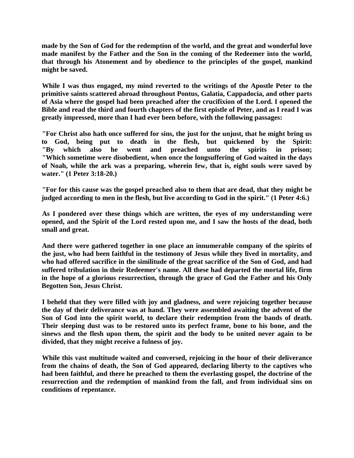**made by the Son of God for the redemption of the world, and the great and wonderful love made manifest by the Father and the Son in the coming of the Redeemer into the world, that through his Atonement and by obedience to the principles of the gospel, mankind might be saved.** 

**While I was thus engaged, my mind reverted to the writings of the Apostle Peter to the primitive saints scattered abroad throughout Pontus, Galatia, Cappadocia, and other parts of Asia where the gospel had been preached after the crucifixion of the Lord. I opened the Bible and read the third and fourth chapters of the first epistle of Peter, and as I read I was greatly impressed, more than I had ever been before, with the following passages:** 

**"For Christ also hath once suffered for sins, the just for the unjust, that he might bring us to God, being put to death in the flesh, but quickened by the Spirit: "By which also he went and preached unto the spirits in prison; "Which sometime were disobedient, when once the longsuffering of God waited in the days of Noah, while the ark was a preparing, wherein few, that is, eight souls were saved by water." (1 Peter 3:18-20.)** 

**"For for this cause was the gospel preached also to them that are dead, that they might be judged according to men in the flesh, but live according to God in the spirit." (1 Peter 4:6.)** 

**As I pondered over these things which are written, the eyes of my understanding were opened, and the Spirit of the Lord rested upon me, and I saw the hosts of the dead, both small and great.** 

**And there were gathered together in one place an innumerable company of the spirits of the just, who had been faithful in the testimony of Jesus while they lived in mortality, and who had offered sacrifice in the similitude of the great sacrifice of the Son of God, and had suffered tribulation in their Redeemer's name. All these had departed the mortal life, firm in the hope of a glorious resurrection, through the grace of God the Father and his Only Begotten Son, Jesus Christ.** 

**I beheld that they were filled with joy and gladness, and were rejoicing together because the day of their deliverance was at hand. They were assembled awaiting the advent of the Son of God into the spirit world, to declare their redemption from the bands of death. Their sleeping dust was to be restored unto its perfect frame, bone to his bone, and the sinews and the flesh upon them, the spirit and the body to be united never again to be divided, that they might receive a fulness of joy.** 

**While this vast multitude waited and conversed, rejoicing in the hour of their deliverance from the chains of death, the Son of God appeared, declaring liberty to the captives who had been faithful, and there he preached to them the everlasting gospel, the doctrine of the resurrection and the redemption of mankind from the fall, and from individual sins on conditions of repentance.**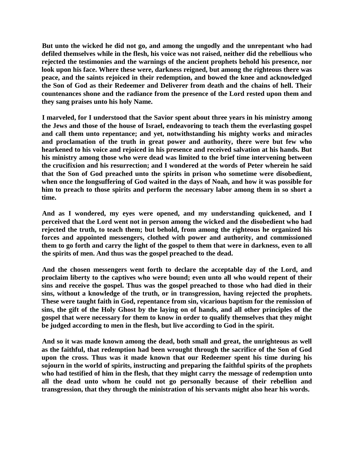**But unto the wicked he did not go, and among the ungodly and the unrepentant who had defiled themselves while in the flesh, his voice was not raised, neither did the rebellious who rejected the testimonies and the warnings of the ancient prophets behold his presence, nor look upon his face. Where these were, darkness reigned, but among the righteous there was peace, and the saints rejoiced in their redemption, and bowed the knee and acknowledged the Son of God as their Redeemer and Deliverer from death and the chains of hell. Their countenances shone and the radiance from the presence of the Lord rested upon them and they sang praises unto his holy Name.** 

**I marveled, for I understood that the Savior spent about three years in his ministry among the Jews and those of the house of Israel, endeavoring to teach them the everlasting gospel and call them unto repentance; and yet, notwithstanding his mighty works and miracles and proclamation of the truth in great power and authority, there were but few who hearkened to his voice and rejoiced in his presence and received salvation at his hands. But his ministry among those who were dead was limited to the brief time intervening between the crucifixion and his resurrection; and I wondered at the words of Peter wherein he said that the Son of God preached unto the spirits in prison who sometime were disobedient, when once the longsuffering of God waited in the days of Noah, and how it was possible for him to preach to those spirits and perform the necessary labor among them in so short a time.** 

**And as I wondered, my eyes were opened, and my understanding quickened, and I perceived that the Lord went not in person among the wicked and the disobedient who had rejected the truth, to teach them; but behold, from among the righteous he organized his forces and appointed messengers, clothed with power and authority, and commissioned them to go forth and carry the light of the gospel to them that were in darkness, even to all the spirits of men. And thus was the gospel preached to the dead.** 

**And the chosen messengers went forth to declare the acceptable day of the Lord, and proclaim liberty to the captives who were bound; even unto all who would repent of their sins and receive the gospel. Thus was the gospel preached to those who had died in their sins, without a knowledge of the truth, or in transgression, having rejected the prophets. These were taught faith in God, repentance from sin, vicarious baptism for the remission of sins, the gift of the Holy Ghost by the laying on of hands, and all other principles of the gospel that were necessary for them to know in order to qualify themselves that they might be judged according to men in the flesh, but live according to God in the spirit.** 

**And so it was made known among the dead, both small and great, the unrighteous as well as the faithful, that redemption had been wrought through the sacrifice of the Son of God upon the cross. Thus was it made known that our Redeemer spent his time during his sojourn in the world of spirits, instructing and preparing the faithful spirits of the prophets who had testified of him in the flesh, that they might carry the message of redemption unto all the dead unto whom he could not go personally because of their rebellion and transgression, that they through the ministration of his servants might also hear his words.**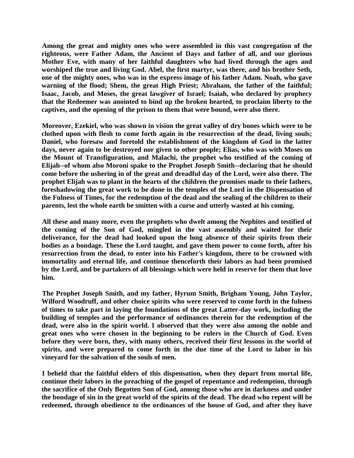**Among the great and mighty ones who were assembled in this vast congregation of the righteous, were Father Adam, the Ancient of Days and father of all, and our glorious Mother Eve, with many of her faithful daughters who had lived through the ages and worshiped the true and living God. Abel, the first martyr, was there, and his brother Seth, one of the mighty ones, who was in the express image of his father Adam. Noah, who gave warning of the flood; Shem, the great High Priest; Abraham, the father of the faithful; Isaac, Jacob, and Moses, the great lawgiver of Israel; Isaiah, who declared by prophecy that the Redeemer was anointed to bind up the broken hearted, to proclaim liberty to the captives, and the opening of the prison to them that were bound, were also there.** 

**Moreover, Ezekiel, who was shown in vision the great valley of dry bones which were to be clothed upon with flesh to come forth again in the resurrection of the dead, living souls; Daniel, who foresaw and foretold the establishment of the kingdom of God in the latter days, never again to be destroyed nor given to other people; Elias, who was with Moses on the Mount of Transfiguration, and Malachi, the prophet who testified of the coming of Elijah--of whom also Moroni spake to the Prophet Joseph Smith--declaring that he should come before the ushering in of the great and dreadful day of the Lord, were also there. The prophet Elijah was to plant in the hearts of the children the promises made to their fathers, foreshadowing the great work to be done in the temples of the Lord in the Dispensation of the Fulness of Times, for the redemption of the dead and the sealing of the children to their parents, lest the whole earth be smitten with a curse and utterly wasted at his coming.** 

**All these and many more, even the prophets who dwelt among the Nephites and testified of the coming of the Son of God, mingled in the vast assembly and waited for their deliverance, for the dead had looked upon the long absence of their spirits from their bodies as a bondage. These the Lord taught, and gave them power to come forth, after his resurrection from the dead, to enter into his Father's kingdom, there to be crowned with immortality and eternal life, and continue thenceforth their labors as had been promised by the Lord, and be partakers of all blessings which were held in reserve for them that love him.** 

**The Prophet Joseph Smith, and my father, Hyrum Smith, Brigham Young, John Taylor, Wilford Woodruff, and other choice spirits who were reserved to come forth in the fulness of times to take part in laying the foundations of the great Latter-day work, including the building of temples and the performance of ordinances therein for the redemption of the dead, were also in the spirit world. I observed that they were also among the noble and great ones who were chosen in the beginning to be rulers in the Church of God. Even before they were born, they, with many others, received their first lessons in the world of spirits, and were prepared to come forth in the due time of the Lord to labor in his vineyard for the salvation of the souls of men.** 

**I beheld that the faithful elders of this dispensation, when they depart from mortal life, continue their labors in the preaching of the gospel of repentance and redemption, through the sacrifice of the Only Begotten Son of God, among those who are in darkness and under the bondage of sin in the great world of the spirits of the dead. The dead who repent will be redeemed, through obedience to the ordinances of the house of God, and after they have**